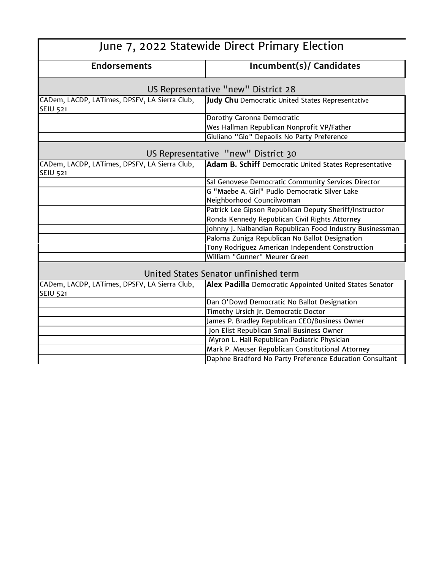| June 7, 2022 Statewide Direct Primary Election                   |                                                           |  |
|------------------------------------------------------------------|-----------------------------------------------------------|--|
| <b>Endorsements</b>                                              | <b>Incumbent(s)/ Candidates</b>                           |  |
| US Representative "new" District 28                              |                                                           |  |
| CADem, LACDP, LATimes, DPSFV, LA Sierra Club,<br><b>SEIU 521</b> | Judy Chu Democratic United States Representative          |  |
|                                                                  | Dorothy Caronna Democratic                                |  |
|                                                                  | Wes Hallman Republican Nonprofit VP/Father                |  |
|                                                                  | Giuliano "Gio" Depaolis No Party Preference               |  |
|                                                                  | US Representative "new" District 30                       |  |
| CADem, LACDP, LATimes, DPSFV, LA Sierra Club,<br><b>SEIU 521</b> | Adam B. Schiff Democratic United States Representative    |  |
|                                                                  | Sal Genovese Democratic Community Services Director       |  |
|                                                                  | G "Maebe A. Girl" Pudlo Democratic Silver Lake            |  |
|                                                                  | Neighborhood Councilwoman                                 |  |
|                                                                  | Patrick Lee Gipson Republican Deputy Sheriff/Instructor   |  |
|                                                                  | Ronda Kennedy Republican Civil Rights Attorney            |  |
|                                                                  | Johnny J. Nalbandian Republican Food Industry Businessman |  |
|                                                                  | Paloma Zuniga Republican No Ballot Designation            |  |
|                                                                  | Tony Rodriguez American Independent Construction          |  |
|                                                                  | William "Gunner" Meurer Green                             |  |
| United States Senator unfinished term                            |                                                           |  |
| CADem, LACDP, LATimes, DPSFV, LA Sierra Club,<br><b>SEIU 521</b> | Alex Padilla Democratic Appointed United States Senator   |  |
|                                                                  | Dan O'Dowd Democratic No Ballot Designation               |  |
|                                                                  | Timothy Ursich Jr. Democratic Doctor                      |  |
|                                                                  | James P. Bradley Republican CEO/Business Owner            |  |
|                                                                  | Jon Elist Republican Small Business Owner                 |  |
|                                                                  | Myron L. Hall Republican Podiatric Physician              |  |
|                                                                  | Mark P. Meuser Republican Constitutional Attorney         |  |
|                                                                  | Daphne Bradford No Party Preference Education Consultant  |  |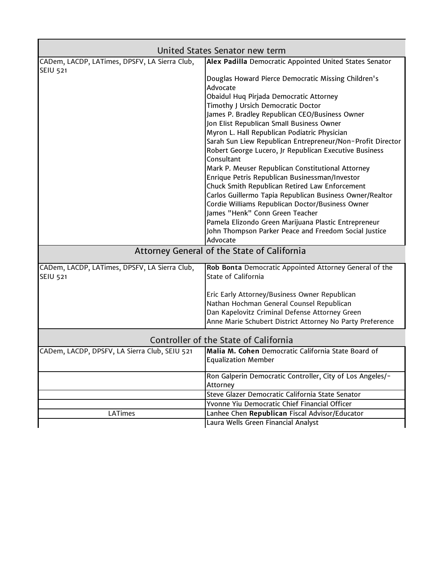|                                               | United States Senator new term                                                                   |
|-----------------------------------------------|--------------------------------------------------------------------------------------------------|
| CADem, LACDP, LATimes, DPSFV, LA Sierra Club, | Alex Padilla Democratic Appointed United States Senator                                          |
| <b>SEIU 521</b>                               |                                                                                                  |
|                                               | Douglas Howard Pierce Democratic Missing Children's                                              |
|                                               | Advocate                                                                                         |
|                                               | Obaidul Huq Pirjada Democratic Attorney                                                          |
|                                               | Timothy J Ursich Democratic Doctor                                                               |
|                                               | James P. Bradley Republican CEO/Business Owner                                                   |
|                                               | Jon Elist Republican Small Business Owner                                                        |
|                                               | Myron L. Hall Republican Podiatric Physician                                                     |
|                                               | Sarah Sun Liew Republican Entrepreneur/Non-Profit Director                                       |
|                                               | Robert George Lucero, Jr Republican Executive Business<br>Consultant                             |
|                                               |                                                                                                  |
|                                               | Mark P. Meuser Republican Constitutional Attorney                                                |
|                                               | Enrique Petris Republican Businessman/Investor<br>Chuck Smith Republican Retired Law Enforcement |
|                                               | Carlos Guillermo Tapia Republican Business Owner/Realtor                                         |
|                                               | Cordie Williams Republican Doctor/Business Owner                                                 |
|                                               | James "Henk" Conn Green Teacher                                                                  |
|                                               | Pamela Elizondo Green Marijuana Plastic Entrepreneur                                             |
|                                               | John Thompson Parker Peace and Freedom Social Justice                                            |
|                                               | Advocate                                                                                         |
| Attorney General of the State of California   |                                                                                                  |
| CADem, LACDP, LATimes, DPSFV, LA Sierra Club, | Rob Bonta Democratic Appointed Attorney General of the                                           |
| <b>SEIU 521</b>                               | State of California                                                                              |
|                                               | Eric Early Attorney/Business Owner Republican                                                    |
|                                               | Nathan Hochman General Counsel Republican                                                        |
|                                               | Dan Kapelovitz Criminal Defense Attorney Green                                                   |
|                                               | Anne Marie Schubert District Attorney No Party Preference                                        |
| Controller of the State of California         |                                                                                                  |
| CADem, LACDP, DPSFV, LA Sierra Club, SEIU 521 | Malia M. Cohen Democratic California State Board of                                              |
|                                               | <b>Equalization Member</b>                                                                       |
|                                               | Ron Galperin Democratic Controller, City of Los Angeles/-                                        |
|                                               | Attorney                                                                                         |
|                                               | Steve Glazer Democratic California State Senator                                                 |
|                                               | Yvonne Yiu Democratic Chief Financial Officer                                                    |
| <b>LATimes</b>                                | Lanhee Chen Republican Fiscal Advisor/Educator                                                   |
|                                               | Laura Wells Green Financial Analyst                                                              |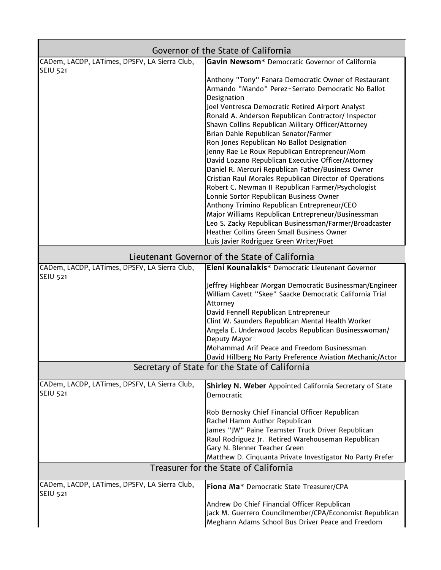| Governor of the State of California                                                       |                                                                                            |  |
|-------------------------------------------------------------------------------------------|--------------------------------------------------------------------------------------------|--|
| CADem, LACDP, LATimes, DPSFV, LA Sierra Club,                                             | Gavin Newsom* Democratic Governor of California                                            |  |
| <b>SEIU 521</b>                                                                           | Anthony "Tony" Fanara Democratic Owner of Restaurant                                       |  |
|                                                                                           | Armando "Mando" Perez-Serrato Democratic No Ballot                                         |  |
|                                                                                           | Designation                                                                                |  |
|                                                                                           | Joel Ventresca Democratic Retired Airport Analyst                                          |  |
|                                                                                           | Ronald A. Anderson Republican Contractor/ Inspector                                        |  |
|                                                                                           | Shawn Collins Republican Military Officer/Attorney                                         |  |
|                                                                                           | Brian Dahle Republican Senator/Farmer                                                      |  |
|                                                                                           | Ron Jones Republican No Ballot Designation                                                 |  |
|                                                                                           | Jenny Rae Le Roux Republican Entrepreneur/Mom                                              |  |
|                                                                                           | David Lozano Republican Executive Officer/Attorney                                         |  |
|                                                                                           | Daniel R. Mercuri Republican Father/Business Owner                                         |  |
|                                                                                           | Cristian Raul Morales Republican Director of Operations                                    |  |
|                                                                                           | Robert C. Newman II Republican Farmer/Psychologist                                         |  |
|                                                                                           | Lonnie Sortor Republican Business Owner                                                    |  |
|                                                                                           | Anthony Trimino Republican Entrepreneur/CEO                                                |  |
|                                                                                           | Major Williams Republican Entrepreneur/Businessman                                         |  |
|                                                                                           | Leo S. Zacky Republican Businessman/Farmer/Broadcaster                                     |  |
|                                                                                           | Heather Collins Green Small Business Owner                                                 |  |
|                                                                                           | Luis Javier Rodriguez Green Writer/Poet                                                    |  |
| Lieutenant Governor of the State of California                                            |                                                                                            |  |
| CADem, LACDP, LATimes, DPSFV, LA Sierra Club,                                             | Eleni Kounalakis* Democratic Lieutenant Governor                                           |  |
| <b>SEIU 521</b>                                                                           |                                                                                            |  |
|                                                                                           | Jeffrey Highbear Morgan Democratic Businessman/Engineer                                    |  |
|                                                                                           | William Cavett "Skee" Saacke Democratic California Trial                                   |  |
|                                                                                           | Attorney                                                                                   |  |
|                                                                                           | David Fennell Republican Entrepreneur<br>Clint W. Saunders Republican Mental Health Worker |  |
|                                                                                           | Angela E. Underwood Jacobs Republican Businesswoman/                                       |  |
|                                                                                           | Deputy Mayor                                                                               |  |
|                                                                                           | Mohammad Arif Peace and Freedom Businessman                                                |  |
|                                                                                           | David Hillberg No Party Preference Aviation Mechanic/Actor                                 |  |
|                                                                                           | Secretary of State for the State of California                                             |  |
|                                                                                           |                                                                                            |  |
| CADem, LACDP, LATimes, DPSFV, LA Sierra Club,<br><b>SEIU 521</b>                          | Shirley N. Weber Appointed California Secretary of State                                   |  |
|                                                                                           | Democratic                                                                                 |  |
|                                                                                           |                                                                                            |  |
|                                                                                           | Rob Bernosky Chief Financial Officer Republican<br>Rachel Hamm Author Republican           |  |
|                                                                                           | James "JW" Paine Teamster Truck Driver Republican                                          |  |
|                                                                                           | Raul Rodriguez Jr. Retired Warehouseman Republican                                         |  |
|                                                                                           | Gary N. Blenner Teacher Green                                                              |  |
|                                                                                           | Matthew D. Cinquanta Private Investigator No Party Prefer                                  |  |
| Treasurer for the State of California                                                     |                                                                                            |  |
| CADem, LACDP, LATimes, DPSFV, LA Sierra Club,<br>Fiona Ma* Democratic State Treasurer/CPA |                                                                                            |  |
| <b>SEIU 521</b>                                                                           |                                                                                            |  |
|                                                                                           | Andrew Do Chief Financial Officer Republican                                               |  |
|                                                                                           | Jack M. Guerrero Councilmember/CPA/Economist Republican                                    |  |
|                                                                                           | Meghann Adams School Bus Driver Peace and Freedom                                          |  |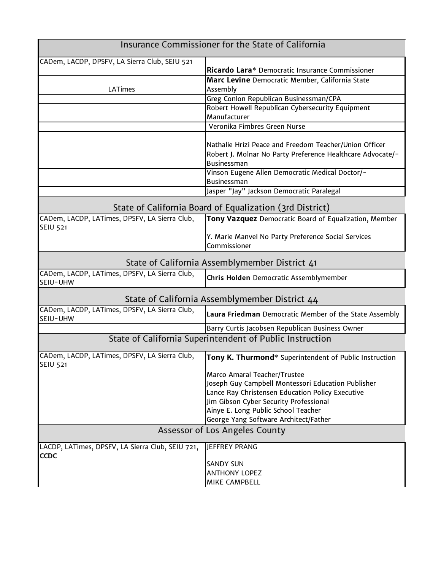| Insurance Commissioner for the State of California               |                                                                           |  |
|------------------------------------------------------------------|---------------------------------------------------------------------------|--|
| CADem, LACDP, DPSFV, LA Sierra Club, SEIU 521                    | Ricardo Lara* Democratic Insurance Commissioner                           |  |
|                                                                  | Marc Levine Democratic Member, California State                           |  |
| <b>LATimes</b>                                                   | Assembly                                                                  |  |
|                                                                  | Greg Conlon Republican Businessman/CPA                                    |  |
|                                                                  | Robert Howell Republican Cybersecurity Equipment                          |  |
|                                                                  | Manufacturer                                                              |  |
|                                                                  | Veronika Fimbres Green Nurse                                              |  |
|                                                                  | Nathalie Hrizi Peace and Freedom Teacher/Union Officer                    |  |
|                                                                  | Robert J. Molnar No Party Preference Healthcare Advocate/-<br>Businessman |  |
|                                                                  | Vinson Eugene Allen Democratic Medical Doctor/-<br>Businessman            |  |
|                                                                  | Jasper "Jay" Jackson Democratic Paralegal                                 |  |
| State of California Board of Equalization (3rd District)         |                                                                           |  |
| CADem, LACDP, LATimes, DPSFV, LA Sierra Club,<br><b>SEIU 521</b> | Tony Vazquez Democratic Board of Equalization, Member                     |  |
|                                                                  | Y. Marie Manvel No Party Preference Social Services<br>Commissioner       |  |
| State of California Assemblymember District 41                   |                                                                           |  |
| CADem, LACDP, LATimes, DPSFV, LA Sierra Club,<br>SEIU-UHW        | Chris Holden Democratic Assemblymember                                    |  |
| State of California Assemblymember District 44                   |                                                                           |  |
| CADem, LACDP, LATimes, DPSFV, LA Sierra Club,<br>SEIU-UHW        | Laura Friedman Democratic Member of the State Assembly                    |  |
|                                                                  | Barry Curtis Jacobsen Republican Business Owner                           |  |
| State of California Superintendent of Public Instruction         |                                                                           |  |
| CADem, LACDP, LATimes, DPSFV, LA Sierra Club,<br><b>SEIU 521</b> | Tony K. Thurmond* Superintendent of Public Instruction                    |  |
|                                                                  | Marco Amaral Teacher/Trustee                                              |  |
|                                                                  | Joseph Guy Campbell Montessori Education Publisher                        |  |
|                                                                  | Lance Ray Christensen Education Policy Executive                          |  |
|                                                                  | Jim Gibson Cyber Security Professional                                    |  |
|                                                                  | Ainye E. Long Public School Teacher                                       |  |
|                                                                  | George Yang Software Architect/Father                                     |  |
| Assessor of Los Angeles County                                   |                                                                           |  |
| LACDP, LATimes, DPSFV, LA Sierra Club, SEIU 721,<br><b>CCDC</b>  | JEFFREY PRANG                                                             |  |
|                                                                  | <b>SANDY SUN</b>                                                          |  |
|                                                                  | <b>ANTHONY LOPEZ</b>                                                      |  |
|                                                                  | MIKE CAMPBELL                                                             |  |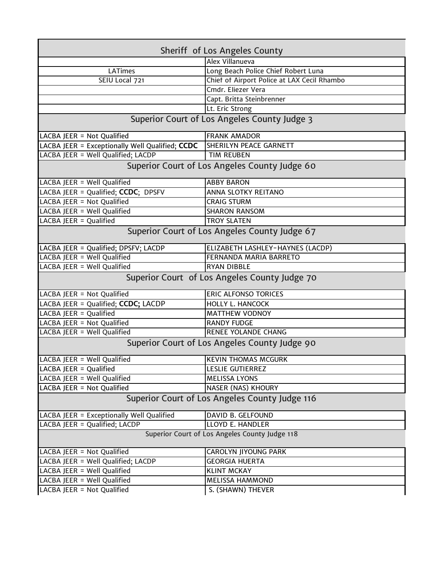| Sheriff of Los Angeles County                   |                                               |  |
|-------------------------------------------------|-----------------------------------------------|--|
|                                                 | Alex Villanueva                               |  |
| <b>LATimes</b>                                  | Long Beach Police Chief Robert Luna           |  |
| SEIU Local 721                                  | Chief of Airport Police at LAX Cecil Rhambo   |  |
|                                                 | Cmdr. Eliezer Vera                            |  |
|                                                 | Capt. Britta Steinbrenner                     |  |
|                                                 | Lt. Eric Strong                               |  |
| Superior Court of Los Angeles County Judge 3    |                                               |  |
| LACBA JEER = Not Qualified                      | <b>FRANK AMADOR</b>                           |  |
| LACBA JEER = Exceptionally Well Qualified; CCDC | SHERILYN PEACE GARNETT                        |  |
| LACBA JEER = Well Qualified; LACDP              | <b>TIM REUBEN</b>                             |  |
| Superior Court of Los Angeles County Judge 60   |                                               |  |
| LACBA JEER = Well Qualified                     | <b>ABBY BARON</b>                             |  |
| LACBA JEER = Qualified; CCDC; DPSFV             | ANNA SLOTKY REITANO                           |  |
| LACBA JEER = Not Qualified                      | <b>CRAIG STURM</b>                            |  |
| LACBA JEER = Well Qualified                     | <b>SHARON RANSOM</b>                          |  |
| LACBA JEER = Qualified                          | <b>TROY SLATEN</b>                            |  |
| Superior Court of Los Angeles County Judge 67   |                                               |  |
| LACBA JEER = Qualified; DPSFV; LACDP            | ELIZABETH LASHLEY-HAYNES (LACDP)              |  |
| LACBA JEER = Well Qualified                     | FERNANDA MARIA BARRETO                        |  |
| LACBA JEER = Well Qualified                     | <b>RYAN DIBBLE</b>                            |  |
|                                                 | Superior Court of Los Angeles County Judge 70 |  |
| LACBA JEER = Not Qualified                      | <b>ERIC ALFONSO TORICES</b>                   |  |
| LACBA JEER = Qualified; CCDC; LACDP             | <b>HOLLY L. HANCOCK</b>                       |  |
| LACBA JEER = $\overline{Qualified}$             | <b>MATTHEW VODNOY</b>                         |  |
| LACBA JEER = Not Qualified                      | <b>RANDY FUDGE</b>                            |  |
| LACBA JEER = Well Qualified                     | <b>RENEE YOLANDE CHANG</b>                    |  |
| Superior Court of Los Angeles County Judge 90   |                                               |  |
| LACBA JEER = Well Qualified                     | <b>KEVIN THOMAS MCGURK</b>                    |  |
| LACBA JEER = Qualified                          | LESLIE GUTIERREZ                              |  |
| LACBA JEER = Well Qualified                     | <b>MELISSA LYONS</b>                          |  |
| LACBA JEER = Not Qualified                      | NASER (NAS) KHOURY                            |  |
| Superior Court of Los Angeles County Judge 116  |                                               |  |
| LACBA JEER = Exceptionally Well Qualified       | DAVID B. GELFOUND                             |  |
| LACBA JEER = Qualified; LACDP                   | LLOYD E. HANDLER                              |  |
| Superior Court of Los Angeles County Judge 118  |                                               |  |
| LACBA JEER = Not Qualified                      | CAROLYN JIYOUNG PARK                          |  |
| LACBA JEER = Well Qualified; LACDP              | <b>GEORGIA HUERTA</b>                         |  |
| LACBA JEER = Well Qualified                     | <b>KLINT MCKAY</b>                            |  |
| LACBA JEER = Well Qualified                     | <b>MELISSA HAMMOND</b>                        |  |
| LACBA JEER = Not Qualified                      | S. (SHAWN) THEVER                             |  |